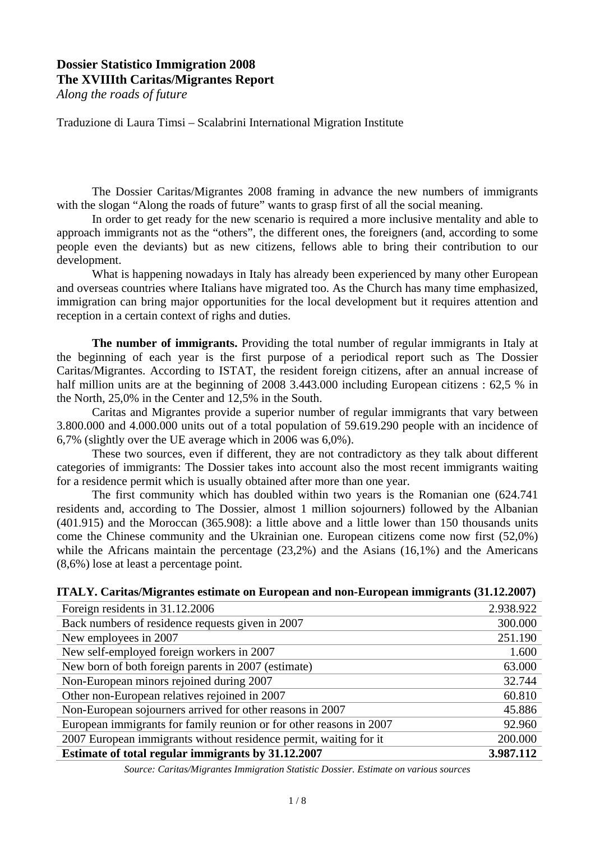## **Dossier Statistico Immigration 2008 The XVIIIth Caritas/Migrantes Report**

*Along the roads of future* 

Traduzione di Laura Timsi – Scalabrini International Migration Institute

The Dossier Caritas/Migrantes 2008 framing in advance the new numbers of immigrants with the slogan "Along the roads of future" wants to grasp first of all the social meaning.

In order to get ready for the new scenario is required a more inclusive mentality and able to approach immigrants not as the "others", the different ones, the foreigners (and, according to some people even the deviants) but as new citizens, fellows able to bring their contribution to our development.

What is happening nowadays in Italy has already been experienced by many other European and overseas countries where Italians have migrated too. As the Church has many time emphasized, immigration can bring major opportunities for the local development but it requires attention and reception in a certain context of righs and duties.

**The number of immigrants.** Providing the total number of regular immigrants in Italy at the beginning of each year is the first purpose of a periodical report such as The Dossier Caritas/Migrantes. According to ISTAT, the resident foreign citizens, after an annual increase of half million units are at the beginning of 2008 3.443.000 including European citizens : 62,5 % in the North, 25,0% in the Center and 12,5% in the South.

Caritas and Migrantes provide a superior number of regular immigrants that vary between 3.800.000 and 4.000.000 units out of a total population of 59.619.290 people with an incidence of 6,7% (slightly over the UE average which in 2006 was 6,0%).

These two sources, even if different, they are not contradictory as they talk about different categories of immigrants: The Dossier takes into account also the most recent immigrants waiting for a residence permit which is usually obtained after more than one year.

The first community which has doubled within two years is the Romanian one (624.741 residents and, according to The Dossier, almost 1 million sojourners) followed by the Albanian (401.915) and the Moroccan (365.908): a little above and a little lower than 150 thousands units come the Chinese community and the Ukrainian one. European citizens come now first (52,0%) while the Africans maintain the percentage (23,2%) and the Asians (16,1%) and the Americans (8,6%) lose at least a percentage point.

|  | ITALY. Caritas/Migrantes estimate on European and non-European immigrants (31.12.2007) |  |
|--|----------------------------------------------------------------------------------------|--|
|  |                                                                                        |  |

| Foreign residents in 31.12.2006                                     | 2.938.922 |
|---------------------------------------------------------------------|-----------|
| Back numbers of residence requests given in 2007                    | 300.000   |
| New employees in 2007                                               | 251.190   |
| New self-employed foreign workers in 2007                           | 1.600     |
| New born of both foreign parents in 2007 (estimate)                 | 63.000    |
| Non-European minors rejoined during 2007                            | 32.744    |
| Other non-European relatives rejoined in 2007                       | 60.810    |
| Non-European sojourners arrived for other reasons in 2007           | 45.886    |
| European immigrants for family reunion or for other reasons in 2007 | 92.960    |
| 2007 European immigrants without residence permit, waiting for it   | 200.000   |
| Estimate of total regular immigrants by 31.12.2007                  | 3.987.112 |

*Source: Caritas/Migrantes Immigration Statistic Dossier. Estimate on various sources*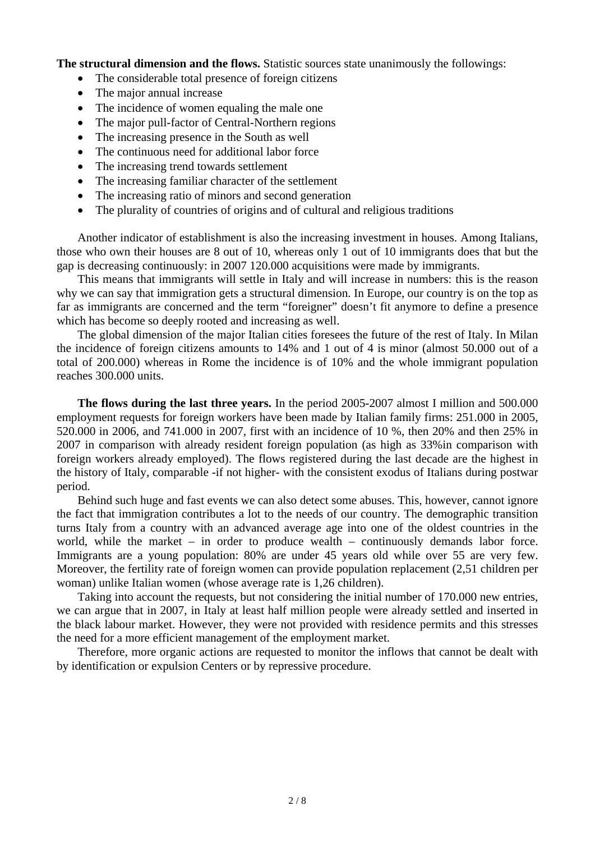**The structural dimension and the flows.** Statistic sources state unanimously the followings:

- The considerable total presence of foreign citizens
- The major annual increase
- The incidence of women equaling the male one
- The major pull-factor of Central-Northern regions
- The increasing presence in the South as well
- The continuous need for additional labor force
- The increasing trend towards settlement
- The increasing familiar character of the settlement
- The increasing ratio of minors and second generation
- The plurality of countries of origins and of cultural and religious traditions

Another indicator of establishment is also the increasing investment in houses. Among Italians, those who own their houses are 8 out of 10, whereas only 1 out of 10 immigrants does that but the gap is decreasing continuously: in 2007 120.000 acquisitions were made by immigrants.

This means that immigrants will settle in Italy and will increase in numbers: this is the reason why we can say that immigration gets a structural dimension. In Europe, our country is on the top as far as immigrants are concerned and the term "foreigner" doesn't fit anymore to define a presence which has become so deeply rooted and increasing as well.

The global dimension of the major Italian cities foresees the future of the rest of Italy. In Milan the incidence of foreign citizens amounts to 14% and 1 out of 4 is minor (almost 50.000 out of a total of 200.000) whereas in Rome the incidence is of 10% and the whole immigrant population reaches 300.000 units.

**The flows during the last three years.** In the period 2005-2007 almost I million and 500.000 employment requests for foreign workers have been made by Italian family firms: 251.000 in 2005, 520.000 in 2006, and 741.000 in 2007, first with an incidence of 10 %, then 20% and then 25% in 2007 in comparison with already resident foreign population (as high as 33%in comparison with foreign workers already employed). The flows registered during the last decade are the highest in the history of Italy, comparable -if not higher- with the consistent exodus of Italians during postwar period.

Behind such huge and fast events we can also detect some abuses. This, however, cannot ignore the fact that immigration contributes a lot to the needs of our country. The demographic transition turns Italy from a country with an advanced average age into one of the oldest countries in the world, while the market – in order to produce wealth – continuously demands labor force. Immigrants are a young population: 80% are under 45 years old while over 55 are very few. Moreover, the fertility rate of foreign women can provide population replacement (2,51 children per woman) unlike Italian women (whose average rate is 1,26 children).

Taking into account the requests, but not considering the initial number of 170.000 new entries, we can argue that in 2007, in Italy at least half million people were already settled and inserted in the black labour market. However, they were not provided with residence permits and this stresses the need for a more efficient management of the employment market.

Therefore, more organic actions are requested to monitor the inflows that cannot be dealt with by identification or expulsion Centers or by repressive procedure.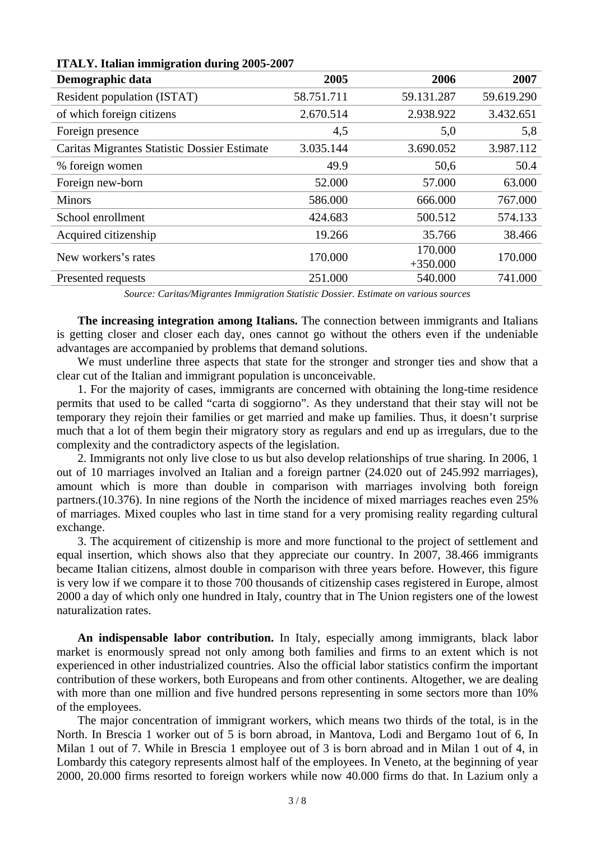| Demographic data                             | 2005       | 2006                  | 2007       |
|----------------------------------------------|------------|-----------------------|------------|
| Resident population (ISTAT)                  | 58.751.711 | 59.131.287            | 59.619.290 |
| of which foreign citizens                    | 2.670.514  | 2.938.922             | 3.432.651  |
| Foreign presence                             | 4,5        | 5,0                   | 5,8        |
| Caritas Migrantes Statistic Dossier Estimate | 3.035.144  | 3.690.052             | 3.987.112  |
| % foreign women                              | 49.9       | 50,6                  | 50.4       |
| Foreign new-born                             | 52.000     | 57.000                | 63.000     |
| <b>Minors</b>                                | 586.000    | 666.000               | 767.000    |
| School enrollment                            | 424.683    | 500.512               | 574.133    |
| Acquired citizenship                         | 19.266     | 35.766                | 38.466     |
| New workers's rates                          | 170.000    | 170.000               | 170.000    |
| Presented requests                           | 251.000    | $+350.000$<br>540.000 | 741.000    |

**ITALY. Italian immigration during 2005-2007**

*Source: Caritas/Migrantes Immigration Statistic Dossier. Estimate on various sources*

**The increasing integration among Italians.** The connection between immigrants and Italians is getting closer and closer each day, ones cannot go without the others even if the undeniable advantages are accompanied by problems that demand solutions.

We must underline three aspects that state for the stronger and stronger ties and show that a clear cut of the Italian and immigrant population is unconceivable.

1. For the majority of cases, immigrants are concerned with obtaining the long-time residence permits that used to be called "carta di soggiorno". As they understand that their stay will not be temporary they rejoin their families or get married and make up families. Thus, it doesn't surprise much that a lot of them begin their migratory story as regulars and end up as irregulars, due to the complexity and the contradictory aspects of the legislation.

2. Immigrants not only live close to us but also develop relationships of true sharing. In 2006, 1 out of 10 marriages involved an Italian and a foreign partner (24.020 out of 245.992 marriages), amount which is more than double in comparison with marriages involving both foreign partners.(10.376). In nine regions of the North the incidence of mixed marriages reaches even 25% of marriages. Mixed couples who last in time stand for a very promising reality regarding cultural exchange.

3. The acquirement of citizenship is more and more functional to the project of settlement and equal insertion, which shows also that they appreciate our country. In 2007, 38.466 immigrants became Italian citizens, almost double in comparison with three years before. However, this figure is very low if we compare it to those 700 thousands of citizenship cases registered in Europe, almost 2000 a day of which only one hundred in Italy, country that in The Union registers one of the lowest naturalization rates.

**An indispensable labor contribution.** In Italy, especially among immigrants, black labor market is enormously spread not only among both families and firms to an extent which is not experienced in other industrialized countries. Also the official labor statistics confirm the important contribution of these workers, both Europeans and from other continents. Altogether, we are dealing with more than one million and five hundred persons representing in some sectors more than 10% of the employees.

The major concentration of immigrant workers, which means two thirds of the total, is in the North. In Brescia 1 worker out of 5 is born abroad, in Mantova, Lodi and Bergamo 1out of 6, In Milan 1 out of 7. While in Brescia 1 employee out of 3 is born abroad and in Milan 1 out of 4, in Lombardy this category represents almost half of the employees. In Veneto, at the beginning of year 2000, 20.000 firms resorted to foreign workers while now 40.000 firms do that. In Lazium only a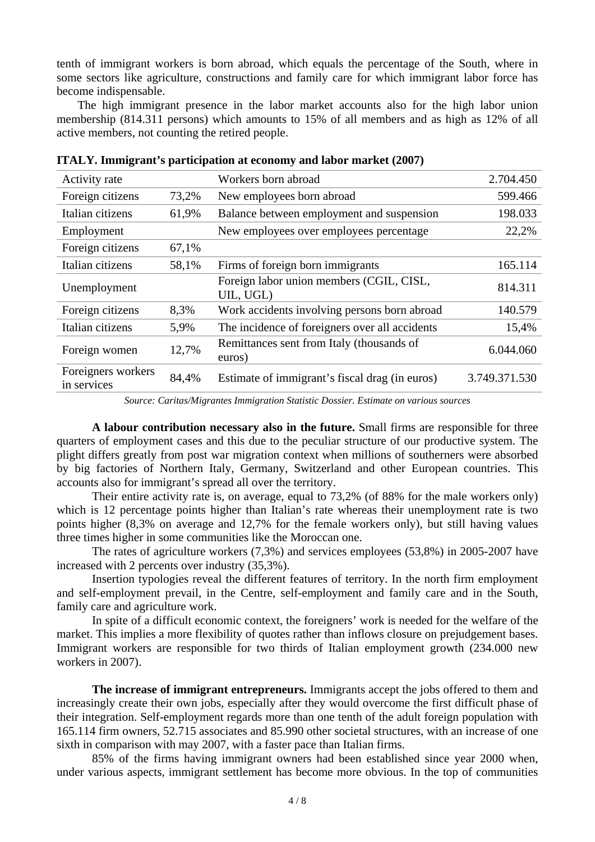tenth of immigrant workers is born abroad, which equals the percentage of the South, where in some sectors like agriculture, constructions and family care for which immigrant labor force has become indispensable.

The high immigrant presence in the labor market accounts also for the high labor union membership (814.311 persons) which amounts to 15% of all members and as high as 12% of all active members, not counting the retired people.

| Activity rate                     |       | Workers born abroad                                   | 2.704.450     |
|-----------------------------------|-------|-------------------------------------------------------|---------------|
| Foreign citizens                  | 73,2% | New employees born abroad                             | 599.466       |
| Italian citizens                  | 61,9% | Balance between employment and suspension             | 198.033       |
| Employment                        |       | New employees over employees percentage               | 22,2%         |
| Foreign citizens                  | 67,1% |                                                       |               |
| Italian citizens                  | 58,1% | Firms of foreign born immigrants                      | 165.114       |
| Unemployment                      |       | Foreign labor union members (CGIL, CISL,<br>UIL, UGL) | 814.311       |
| Foreign citizens                  | 8,3%  | Work accidents involving persons born abroad          | 140.579       |
| Italian citizens                  | 5,9%  | The incidence of foreigners over all accidents        | 15,4%         |
| Foreign women                     | 12,7% | Remittances sent from Italy (thousands of<br>euros)   | 6.044.060     |
| Foreigners workers<br>in services | 84,4% | Estimate of immigrant's fiscal drag (in euros)        | 3.749.371.530 |

**ITALY. Immigrant's participation at economy and labor market (2007)** 

*Source: Caritas/Migrantes Immigration Statistic Dossier. Estimate on various sources* 

**A labour contribution necessary also in the future.** Small firms are responsible for three quarters of employment cases and this due to the peculiar structure of our productive system. The plight differs greatly from post war migration context when millions of southerners were absorbed by big factories of Northern Italy, Germany, Switzerland and other European countries. This accounts also for immigrant's spread all over the territory.

 Their entire activity rate is, on average, equal to 73,2% (of 88% for the male workers only) which is 12 percentage points higher than Italian's rate whereas their unemployment rate is two points higher (8,3% on average and 12,7% for the female workers only), but still having values three times higher in some communities like the Moroccan one.

 The rates of agriculture workers (7,3%) and services employees (53,8%) in 2005-2007 have increased with 2 percents over industry (35,3%).

 Insertion typologies reveal the different features of territory. In the north firm employment and self-employment prevail, in the Centre, self-employment and family care and in the South, family care and agriculture work.

 In spite of a difficult economic context, the foreigners' work is needed for the welfare of the market. This implies a more flexibility of quotes rather than inflows closure on prejudgement bases. Immigrant workers are responsible for two thirds of Italian employment growth (234.000 new workers in 2007).

 **The increase of immigrant entrepreneurs.** Immigrants accept the jobs offered to them and increasingly create their own jobs, especially after they would overcome the first difficult phase of their integration. Self-employment regards more than one tenth of the adult foreign population with 165.114 firm owners, 52.715 associates and 85.990 other societal structures, with an increase of one sixth in comparison with may 2007, with a faster pace than Italian firms.

 85% of the firms having immigrant owners had been established since year 2000 when, under various aspects, immigrant settlement has become more obvious. In the top of communities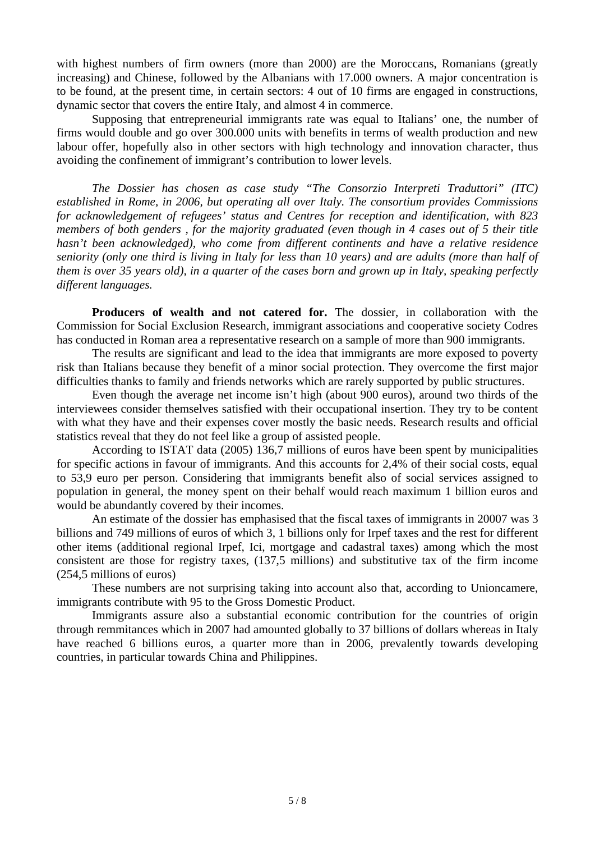with highest numbers of firm owners (more than 2000) are the Moroccans, Romanians (greatly increasing) and Chinese, followed by the Albanians with 17.000 owners. A major concentration is to be found, at the present time, in certain sectors: 4 out of 10 firms are engaged in constructions, dynamic sector that covers the entire Italy, and almost 4 in commerce.

 Supposing that entrepreneurial immigrants rate was equal to Italians' one, the number of firms would double and go over 300.000 units with benefits in terms of wealth production and new labour offer, hopefully also in other sectors with high technology and innovation character, thus avoiding the confinement of immigrant's contribution to lower levels.

*The Dossier has chosen as case study "The Consorzio Interpreti Traduttori" (ITC) established in Rome, in 2006, but operating all over Italy. The consortium provides Commissions for acknowledgement of refugees' status and Centres for reception and identification, with 823 members of both genders , for the majority graduated (even though in 4 cases out of 5 their title hasn't been acknowledged), who come from different continents and have a relative residence seniority (only one third is living in Italy for less than 10 years) and are adults (more than half of them is over 35 years old), in a quarter of the cases born and grown up in Italy, speaking perfectly different languages.* 

 **Producers of wealth and not catered for.** The dossier, in collaboration with the Commission for Social Exclusion Research, immigrant associations and cooperative society Codres has conducted in Roman area a representative research on a sample of more than 900 immigrants.

 The results are significant and lead to the idea that immigrants are more exposed to poverty risk than Italians because they benefit of a minor social protection. They overcome the first major difficulties thanks to family and friends networks which are rarely supported by public structures.

 Even though the average net income isn't high (about 900 euros), around two thirds of the interviewees consider themselves satisfied with their occupational insertion. They try to be content with what they have and their expenses cover mostly the basic needs. Research results and official statistics reveal that they do not feel like a group of assisted people.

 According to ISTAT data (2005) 136,7 millions of euros have been spent by municipalities for specific actions in favour of immigrants. And this accounts for 2,4% of their social costs, equal to 53,9 euro per person. Considering that immigrants benefit also of social services assigned to population in general, the money spent on their behalf would reach maximum 1 billion euros and would be abundantly covered by their incomes.

 An estimate of the dossier has emphasised that the fiscal taxes of immigrants in 20007 was 3 billions and 749 millions of euros of which 3, 1 billions only for Irpef taxes and the rest for different other items (additional regional Irpef, Ici, mortgage and cadastral taxes) among which the most consistent are those for registry taxes, (137,5 millions) and substitutive tax of the firm income (254,5 millions of euros)

 These numbers are not surprising taking into account also that, according to Unioncamere, immigrants contribute with 95 to the Gross Domestic Product.

 Immigrants assure also a substantial economic contribution for the countries of origin through remmitances which in 2007 had amounted globally to 37 billions of dollars whereas in Italy have reached 6 billions euros, a quarter more than in 2006, prevalently towards developing countries, in particular towards China and Philippines.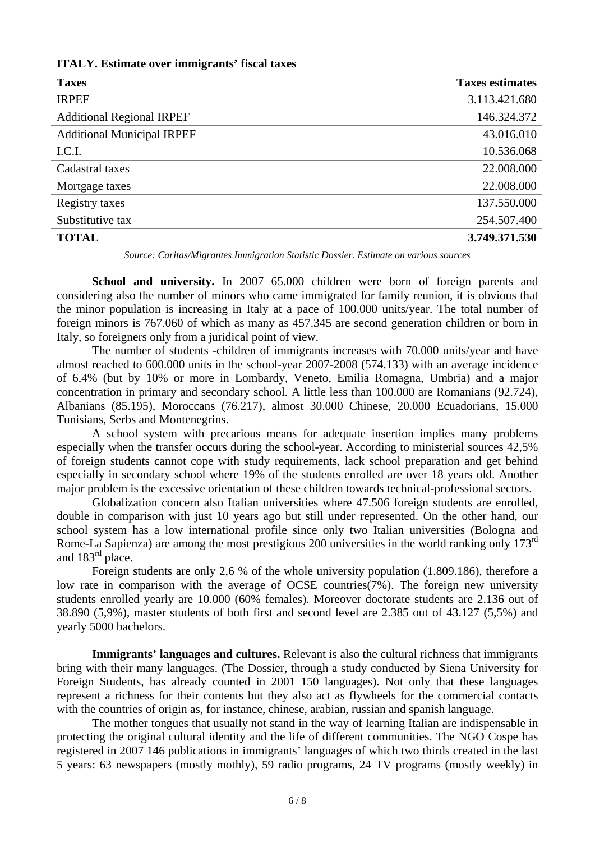| <b>Taxes</b>                      | <b>Taxes estimates</b> |
|-----------------------------------|------------------------|
| <b>IRPEF</b>                      | 3.113.421.680          |
| <b>Additional Regional IRPEF</b>  | 146.324.372            |
| <b>Additional Municipal IRPEF</b> | 43.016.010             |
| I.C.I.                            | 10.536.068             |
| Cadastral taxes                   | 22.008.000             |
| Mortgage taxes                    | 22.008.000             |
| Registry taxes                    | 137.550.000            |
| Substitutive tax                  | 254.507.400            |
| <b>TOTAL</b>                      | 3.749.371.530          |
|                                   |                        |

*Source: Caritas/Migrantes Immigration Statistic Dossier. Estimate on various sources* 

**School and university.** In 2007 65,000 children were born of foreign parents and considering also the number of minors who came immigrated for family reunion, it is obvious that the minor population is increasing in Italy at a pace of 100.000 units/year. The total number of foreign minors is 767.060 of which as many as 457.345 are second generation children or born in Italy, so foreigners only from a juridical point of view.

The number of students -children of immigrants increases with 70.000 units/year and have almost reached to 600.000 units in the school-year 2007-2008 (574.133) with an average incidence of 6,4% (but by 10% or more in Lombardy, Veneto, Emilia Romagna, Umbria) and a major concentration in primary and secondary school. A little less than 100.000 are Romanians (92.724), Albanians (85.195), Moroccans (76.217), almost 30.000 Chinese, 20.000 Ecuadorians, 15.000 Tunisians, Serbs and Montenegrins.

A school system with precarious means for adequate insertion implies many problems especially when the transfer occurs during the school-year. According to ministerial sources 42,5% of foreign students cannot cope with study requirements, lack school preparation and get behind especially in secondary school where 19% of the students enrolled are over 18 years old. Another major problem is the excessive orientation of these children towards technical-professional sectors.

Globalization concern also Italian universities where 47.506 foreign students are enrolled, double in comparison with just 10 years ago but still under represented. On the other hand, our school system has a low international profile since only two Italian universities (Bologna and Rome-La Sapienza) are among the most prestigious 200 universities in the world ranking only 173rd and 183<sup>rd</sup> place.

Foreign students are only 2,6 % of the whole university population (1.809.186), therefore a low rate in comparison with the average of OCSE countries(7%). The foreign new university students enrolled yearly are 10.000 (60% females). Moreover doctorate students are 2.136 out of 38.890 (5,9%), master students of both first and second level are 2.385 out of 43.127 (5,5%) and yearly 5000 bachelors.

**Immigrants' languages and cultures.** Relevant is also the cultural richness that immigrants bring with their many languages. (The Dossier, through a study conducted by Siena University for Foreign Students, has already counted in 2001 150 languages). Not only that these languages represent a richness for their contents but they also act as flywheels for the commercial contacts with the countries of origin as, for instance, chinese, arabian, russian and spanish language.

The mother tongues that usually not stand in the way of learning Italian are indispensable in protecting the original cultural identity and the life of different communities. The NGO Cospe has registered in 2007 146 publications in immigrants' languages of which two thirds created in the last 5 years: 63 newspapers (mostly mothly), 59 radio programs, 24 TV programs (mostly weekly) in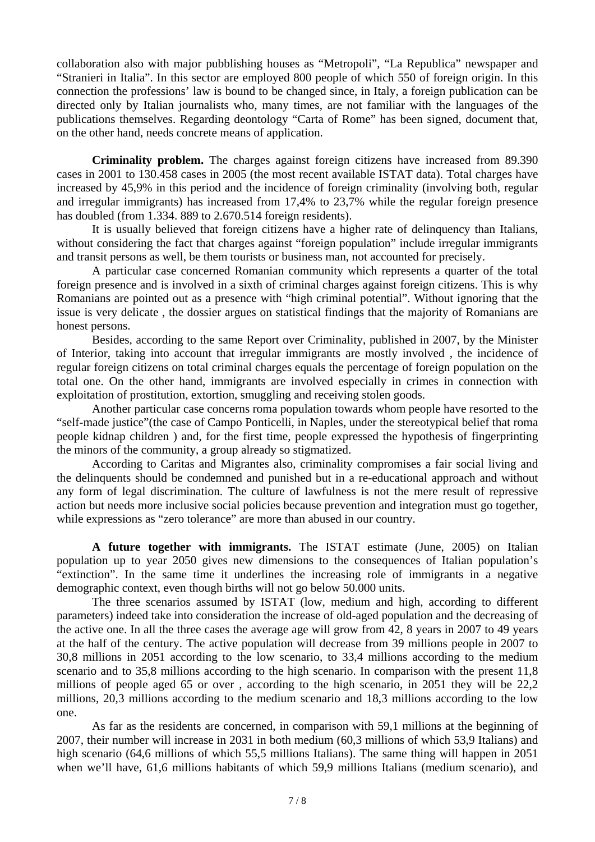collaboration also with major pubblishing houses as "Metropoli", "La Republica" newspaper and "Stranieri in Italia". In this sector are employed 800 people of which 550 of foreign origin. In this connection the professions' law is bound to be changed since, in Italy, a foreign publication can be directed only by Italian journalists who, many times, are not familiar with the languages of the publications themselves. Regarding deontology "Carta of Rome" has been signed, document that, on the other hand, needs concrete means of application.

**Criminality problem.** The charges against foreign citizens have increased from 89.390 cases in 2001 to 130.458 cases in 2005 (the most recent available ISTAT data). Total charges have increased by 45,9% in this period and the incidence of foreign criminality (involving both, regular and irregular immigrants) has increased from 17,4% to 23,7% while the regular foreign presence has doubled (from 1.334, 889 to 2.670.514 foreign residents).

It is usually believed that foreign citizens have a higher rate of delinquency than Italians, without considering the fact that charges against "foreign population" include irregular immigrants and transit persons as well, be them tourists or business man, not accounted for precisely.

A particular case concerned Romanian community which represents a quarter of the total foreign presence and is involved in a sixth of criminal charges against foreign citizens. This is why Romanians are pointed out as a presence with "high criminal potential". Without ignoring that the issue is very delicate , the dossier argues on statistical findings that the majority of Romanians are honest persons.

Besides, according to the same Report over Criminality, published in 2007, by the Minister of Interior, taking into account that irregular immigrants are mostly involved , the incidence of regular foreign citizens on total criminal charges equals the percentage of foreign population on the total one. On the other hand, immigrants are involved especially in crimes in connection with exploitation of prostitution, extortion, smuggling and receiving stolen goods.

Another particular case concerns roma population towards whom people have resorted to the "self-made justice"(the case of Campo Ponticelli, in Naples, under the stereotypical belief that roma people kidnap children ) and, for the first time, people expressed the hypothesis of fingerprinting the minors of the community, a group already so stigmatized.

According to Caritas and Migrantes also, criminality compromises a fair social living and the delinquents should be condemned and punished but in a re-educational approach and without any form of legal discrimination. The culture of lawfulness is not the mere result of repressive action but needs more inclusive social policies because prevention and integration must go together, while expressions as "zero tolerance" are more than abused in our country.

**A future together with immigrants.** The ISTAT estimate (June, 2005) on Italian population up to year 2050 gives new dimensions to the consequences of Italian population's "extinction". In the same time it underlines the increasing role of immigrants in a negative demographic context, even though births will not go below 50.000 units.

The three scenarios assumed by ISTAT (low, medium and high, according to different parameters) indeed take into consideration the increase of old-aged population and the decreasing of the active one. In all the three cases the average age will grow from 42, 8 years in 2007 to 49 years at the half of the century. The active population will decrease from 39 millions people in 2007 to 30,8 millions in 2051 according to the low scenario, to 33,4 millions according to the medium scenario and to 35,8 millions according to the high scenario. In comparison with the present 11,8 millions of people aged 65 or over , according to the high scenario, in 2051 they will be 22,2 millions, 20,3 millions according to the medium scenario and 18,3 millions according to the low one.

As far as the residents are concerned, in comparison with 59,1 millions at the beginning of 2007, their number will increase in 2031 in both medium (60,3 millions of which 53,9 Italians) and high scenario (64,6 millions of which 55,5 millions Italians). The same thing will happen in 2051 when we'll have, 61,6 millions habitants of which 59,9 millions Italians (medium scenario), and